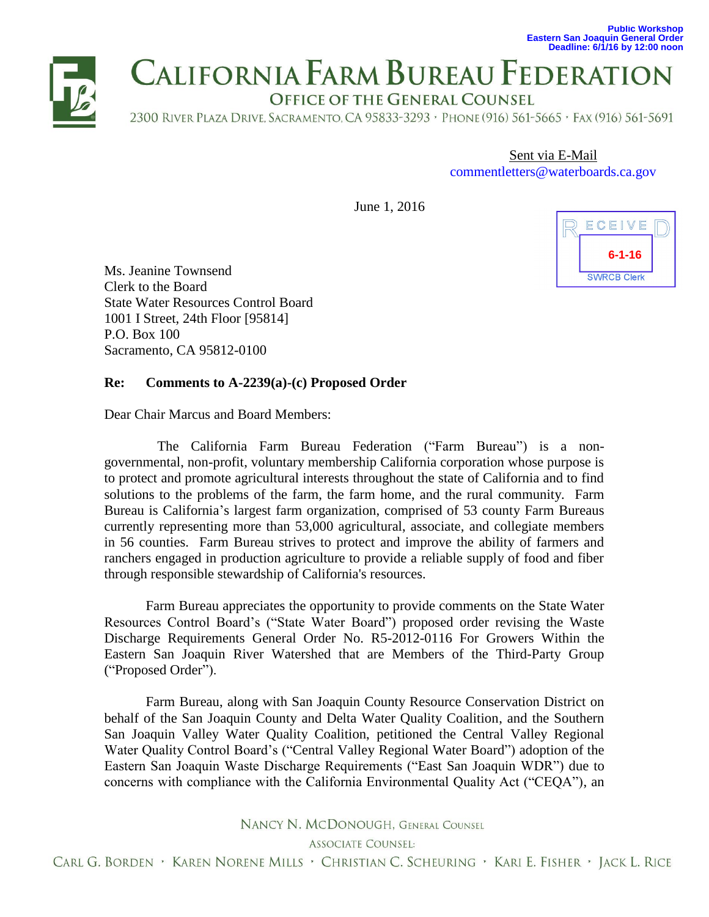**Public Workshop Eastern San Joaquin General Order Deadline: 6/1/16 by 12:00 noon**



# **CALIFORNIA FARM BUREAU FEDERATION**

OFFICE OF THE GENERAL COUNSEL

2300 RIVER PLAZA DRIVE, SACRAMENTO, CA 95833-3293 , PHONE (916) 561-5665 , FAX (916) 561-5691

Sent via E-Mail [commentletters@waterboards.ca.gov](mailto:commentletters@waterboards.ca.gov)

June 1, 2016



Ms. Jeanine Townsend Clerk to the Board State Water Resources Control Board 1001 I Street, 24th Floor [95814] P.O. Box 100 Sacramento, CA 95812-0100

# **Re: Comments to A-2239(a)-(c) Proposed Order**

Dear Chair Marcus and Board Members:

The California Farm Bureau Federation ("Farm Bureau") is a nongovernmental, non-profit, voluntary membership California corporation whose purpose is to protect and promote agricultural interests throughout the state of California and to find solutions to the problems of the farm, the farm home, and the rural community. Farm Bureau is California's largest farm organization, comprised of [53 county Farm Bureaus](http://www.cfbf.com/CFBF/CountyFarmBureaus/CFBF/CountyFarmBureaus/Default.aspx)  currently representing more than 53,000 agricultural, associate, and collegiate members in 56 counties. Farm Bureau strives to protect and improve the ability of farmers and ranchers engaged in production agriculture to provide a reliable supply of food and fiber through responsible stewardship of California's resources.

Farm Bureau appreciates the opportunity to provide comments on the State Water Resources Control Board's ("State Water Board") proposed order revising the Waste Discharge Requirements General Order No. R5-2012-0116 For Growers Within the Eastern San Joaquin River Watershed that are Members of the Third-Party Group ("Proposed Order").

Farm Bureau, along with San Joaquin County Resource Conservation District on behalf of the San Joaquin County and Delta Water Quality Coalition, and the Southern San Joaquin Valley Water Quality Coalition, petitioned the Central Valley Regional Water Quality Control Board's ("Central Valley Regional Water Board") adoption of the Eastern San Joaquin Waste Discharge Requirements ("East San Joaquin WDR") due to concerns with compliance with the California Environmental Quality Act ("CEQA"), an

NANCY N. MCDONOUGH. GENERAL COUNSEL

**ASSOCIATE COUNSEL:** 

CARL G. BORDEN • KAREN NORENE MILLS • CHRISTIAN C. SCHEURING • KARI E. FISHER • JACK L. RICE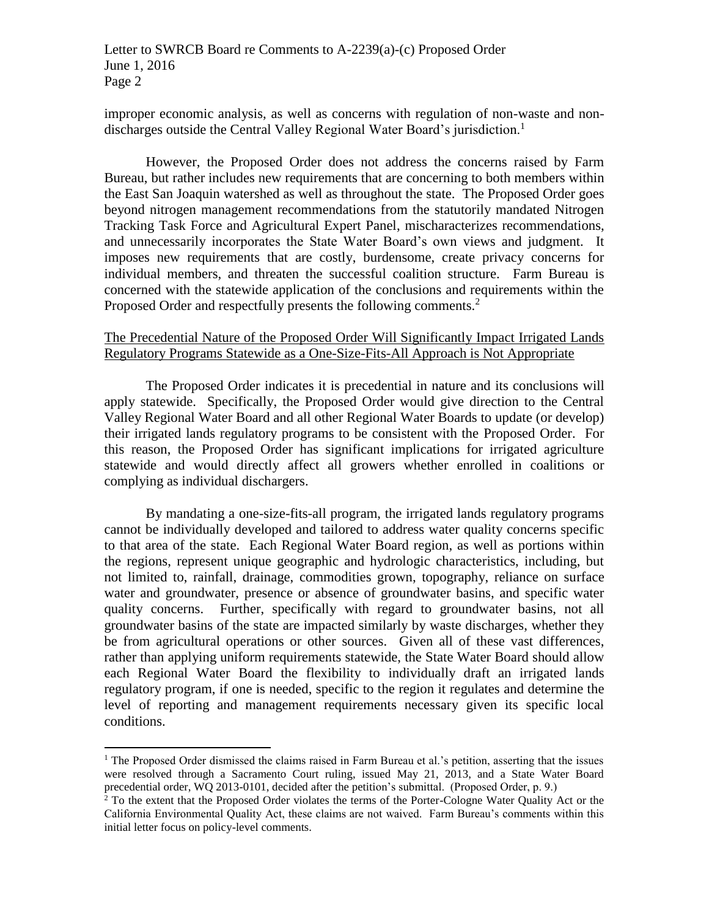Letter to SWRCB Board re Comments to A-2239(a)-(c) Proposed Order June 1, 2016 Page 2

improper economic analysis, as well as concerns with regulation of non-waste and nondischarges outside the Central Valley Regional Water Board's jurisdiction.<sup>1</sup>

However, the Proposed Order does not address the concerns raised by Farm Bureau, but rather includes new requirements that are concerning to both members within the East San Joaquin watershed as well as throughout the state. The Proposed Order goes beyond nitrogen management recommendations from the statutorily mandated Nitrogen Tracking Task Force and Agricultural Expert Panel, mischaracterizes recommendations, and unnecessarily incorporates the State Water Board's own views and judgment. It imposes new requirements that are costly, burdensome, create privacy concerns for individual members, and threaten the successful coalition structure. Farm Bureau is concerned with the statewide application of the conclusions and requirements within the Proposed Order and respectfully presents the following comments.<sup>2</sup>

### The Precedential Nature of the Proposed Order Will Significantly Impact Irrigated Lands Regulatory Programs Statewide as a One-Size-Fits-All Approach is Not Appropriate

The Proposed Order indicates it is precedential in nature and its conclusions will apply statewide. Specifically, the Proposed Order would give direction to the Central Valley Regional Water Board and all other Regional Water Boards to update (or develop) their irrigated lands regulatory programs to be consistent with the Proposed Order. For this reason, the Proposed Order has significant implications for irrigated agriculture statewide and would directly affect all growers whether enrolled in coalitions or complying as individual dischargers.

By mandating a one-size-fits-all program, the irrigated lands regulatory programs cannot be individually developed and tailored to address water quality concerns specific to that area of the state. Each Regional Water Board region, as well as portions within the regions, represent unique geographic and hydrologic characteristics, including, but not limited to, rainfall, drainage, commodities grown, topography, reliance on surface water and groundwater, presence or absence of groundwater basins, and specific water quality concerns. Further, specifically with regard to groundwater basins, not all groundwater basins of the state are impacted similarly by waste discharges, whether they be from agricultural operations or other sources. Given all of these vast differences, rather than applying uniform requirements statewide, the State Water Board should allow each Regional Water Board the flexibility to individually draft an irrigated lands regulatory program, if one is needed, specific to the region it regulates and determine the level of reporting and management requirements necessary given its specific local conditions.

 $\overline{a}$ 

 $<sup>1</sup>$  The Proposed Order dismissed the claims raised in Farm Bureau et al.'s petition, asserting that the issues</sup> were resolved through a Sacramento Court ruling, issued May 21, 2013, and a State Water Board precedential order, WQ 2013-0101, decided after the petition's submittal. (Proposed Order, p. 9.)

<sup>&</sup>lt;sup>2</sup> To the extent that the Proposed Order violates the terms of the Porter-Cologne Water Quality Act or the California Environmental Quality Act, these claims are not waived. Farm Bureau's comments within this initial letter focus on policy-level comments.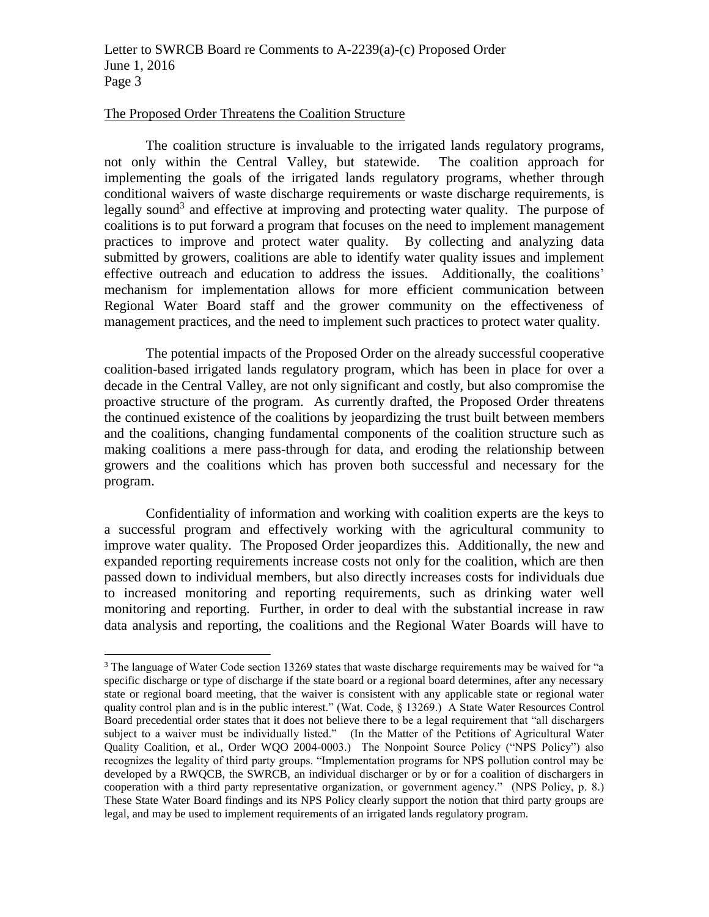#### The Proposed Order Threatens the Coalition Structure

 $\overline{a}$ 

The coalition structure is invaluable to the irrigated lands regulatory programs, not only within the Central Valley, but statewide. The coalition approach for implementing the goals of the irrigated lands regulatory programs, whether through conditional waivers of waste discharge requirements or waste discharge requirements, is legally sound<sup>3</sup> and effective at improving and protecting water quality. The purpose of coalitions is to put forward a program that focuses on the need to implement management practices to improve and protect water quality. By collecting and analyzing data submitted by growers, coalitions are able to identify water quality issues and implement effective outreach and education to address the issues. Additionally, the coalitions' mechanism for implementation allows for more efficient communication between Regional Water Board staff and the grower community on the effectiveness of management practices, and the need to implement such practices to protect water quality.

The potential impacts of the Proposed Order on the already successful cooperative coalition-based irrigated lands regulatory program, which has been in place for over a decade in the Central Valley, are not only significant and costly, but also compromise the proactive structure of the program. As currently drafted, the Proposed Order threatens the continued existence of the coalitions by jeopardizing the trust built between members and the coalitions, changing fundamental components of the coalition structure such as making coalitions a mere pass-through for data, and eroding the relationship between growers and the coalitions which has proven both successful and necessary for the program.

Confidentiality of information and working with coalition experts are the keys to a successful program and effectively working with the agricultural community to improve water quality. The Proposed Order jeopardizes this. Additionally, the new and expanded reporting requirements increase costs not only for the coalition, which are then passed down to individual members, but also directly increases costs for individuals due to increased monitoring and reporting requirements, such as drinking water well monitoring and reporting. Further, in order to deal with the substantial increase in raw data analysis and reporting, the coalitions and the Regional Water Boards will have to

<sup>&</sup>lt;sup>3</sup> The language of Water Code section 13269 states that waste discharge requirements may be waived for "a specific discharge or type of discharge if the state board or a regional board determines, after any necessary state or regional board meeting, that the waiver is consistent with any applicable state or regional water quality control plan and is in the public interest." (Wat. Code, § 13269.) A State Water Resources Control Board precedential order states that it does not believe there to be a legal requirement that "all dischargers subject to a waiver must be individually listed." (In the Matter of the Petitions of Agricultural Water Quality Coalition, et al., Order WQO 2004-0003.) The Nonpoint Source Policy ("NPS Policy") also recognizes the legality of third party groups. "Implementation programs for NPS pollution control may be developed by a RWQCB, the SWRCB, an individual discharger or by or for a coalition of dischargers in cooperation with a third party representative organization, or government agency." (NPS Policy, p. 8.) These State Water Board findings and its NPS Policy clearly support the notion that third party groups are legal, and may be used to implement requirements of an irrigated lands regulatory program.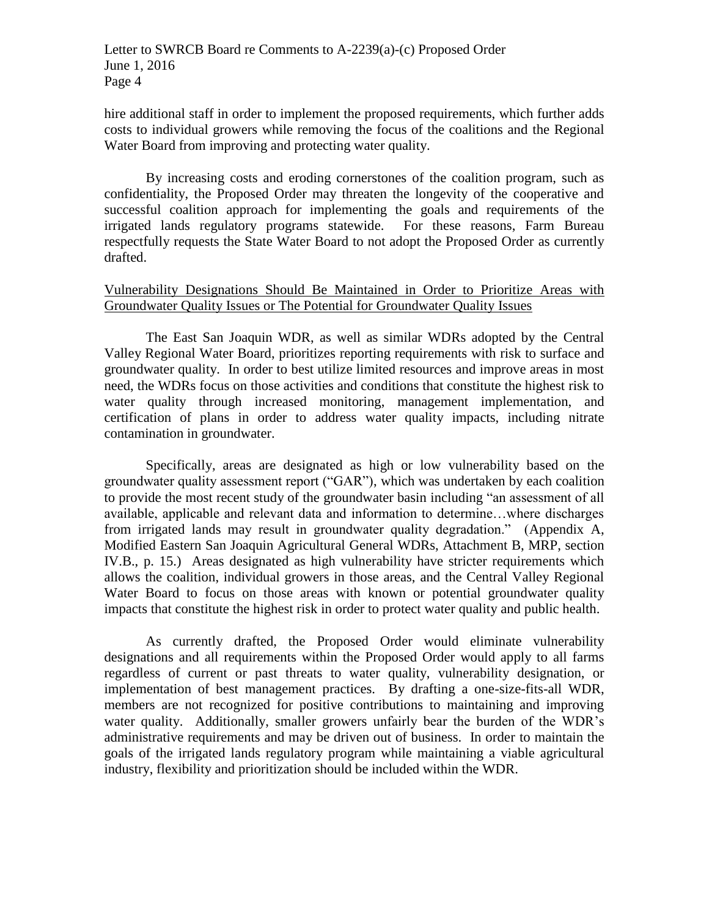hire additional staff in order to implement the proposed requirements, which further adds costs to individual growers while removing the focus of the coalitions and the Regional Water Board from improving and protecting water quality.

By increasing costs and eroding cornerstones of the coalition program, such as confidentiality, the Proposed Order may threaten the longevity of the cooperative and successful coalition approach for implementing the goals and requirements of the irrigated lands regulatory programs statewide. For these reasons, Farm Bureau respectfully requests the State Water Board to not adopt the Proposed Order as currently drafted.

### Vulnerability Designations Should Be Maintained in Order to Prioritize Areas with Groundwater Quality Issues or The Potential for Groundwater Quality Issues

The East San Joaquin WDR, as well as similar WDRs adopted by the Central Valley Regional Water Board, prioritizes reporting requirements with risk to surface and groundwater quality. In order to best utilize limited resources and improve areas in most need, the WDRs focus on those activities and conditions that constitute the highest risk to water quality through increased monitoring, management implementation, and certification of plans in order to address water quality impacts, including nitrate contamination in groundwater.

Specifically, areas are designated as high or low vulnerability based on the groundwater quality assessment report ("GAR"), which was undertaken by each coalition to provide the most recent study of the groundwater basin including "an assessment of all available, applicable and relevant data and information to determine…where discharges from irrigated lands may result in groundwater quality degradation." (Appendix A, Modified Eastern San Joaquin Agricultural General WDRs, Attachment B, MRP, section IV.B., p. 15.) Areas designated as high vulnerability have stricter requirements which allows the coalition, individual growers in those areas, and the Central Valley Regional Water Board to focus on those areas with known or potential groundwater quality impacts that constitute the highest risk in order to protect water quality and public health.

As currently drafted, the Proposed Order would eliminate vulnerability designations and all requirements within the Proposed Order would apply to all farms regardless of current or past threats to water quality, vulnerability designation, or implementation of best management practices. By drafting a one-size-fits-all WDR, members are not recognized for positive contributions to maintaining and improving water quality. Additionally, smaller growers unfairly bear the burden of the WDR's administrative requirements and may be driven out of business. In order to maintain the goals of the irrigated lands regulatory program while maintaining a viable agricultural industry, flexibility and prioritization should be included within the WDR.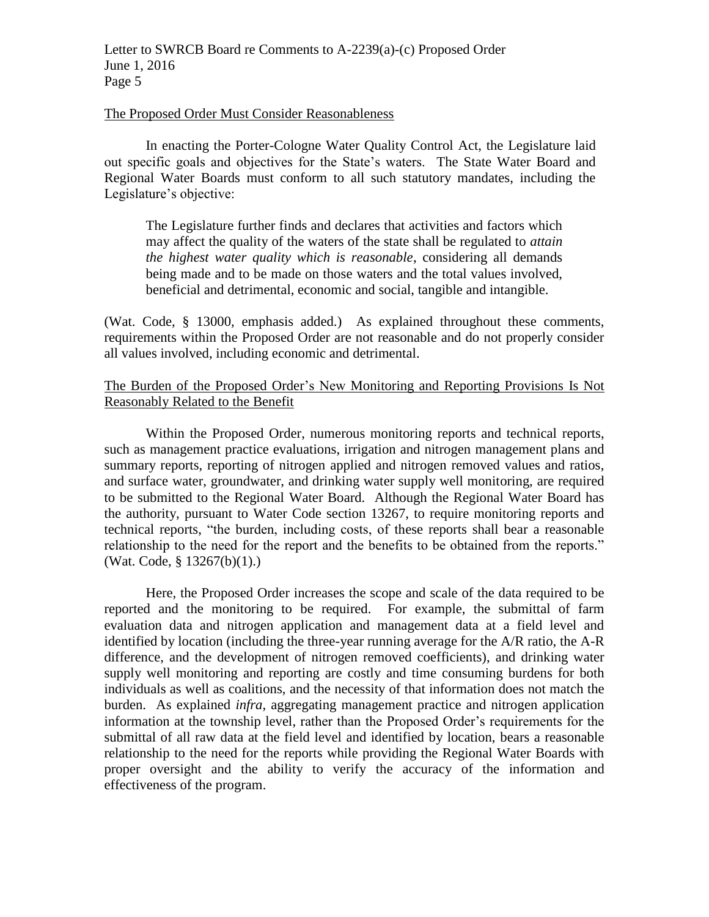#### The Proposed Order Must Consider Reasonableness

In enacting the Porter-Cologne Water Quality Control Act, the Legislature laid out specific goals and objectives for the State's waters. The State Water Board and Regional Water Boards must conform to all such statutory mandates, including the Legislature's objective:

The Legislature further finds and declares that activities and factors which may affect the quality of the waters of the state shall be regulated to *attain the highest water quality which is reasonable*, considering all demands being made and to be made on those waters and the total values involved, beneficial and detrimental, economic and social, tangible and intangible.

(Wat. Code, § 13000, emphasis added.) As explained throughout these comments, requirements within the Proposed Order are not reasonable and do not properly consider all values involved, including economic and detrimental.

# The Burden of the Proposed Order's New Monitoring and Reporting Provisions Is Not Reasonably Related to the Benefit

Within the Proposed Order, numerous monitoring reports and technical reports, such as management practice evaluations, irrigation and nitrogen management plans and summary reports, reporting of nitrogen applied and nitrogen removed values and ratios, and surface water, groundwater, and drinking water supply well monitoring, are required to be submitted to the Regional Water Board. Although the Regional Water Board has the authority, pursuant to Water Code section 13267, to require monitoring reports and technical reports, "the burden, including costs, of these reports shall bear a reasonable relationship to the need for the report and the benefits to be obtained from the reports." (Wat. Code, § 13267(b)(1).)

Here, the Proposed Order increases the scope and scale of the data required to be reported and the monitoring to be required. For example, the submittal of farm evaluation data and nitrogen application and management data at a field level and identified by location (including the three-year running average for the A/R ratio, the A-R difference, and the development of nitrogen removed coefficients), and drinking water supply well monitoring and reporting are costly and time consuming burdens for both individuals as well as coalitions, and the necessity of that information does not match the burden. As explained *infra*, aggregating management practice and nitrogen application information at the township level, rather than the Proposed Order's requirements for the submittal of all raw data at the field level and identified by location, bears a reasonable relationship to the need for the reports while providing the Regional Water Boards with proper oversight and the ability to verify the accuracy of the information and effectiveness of the program.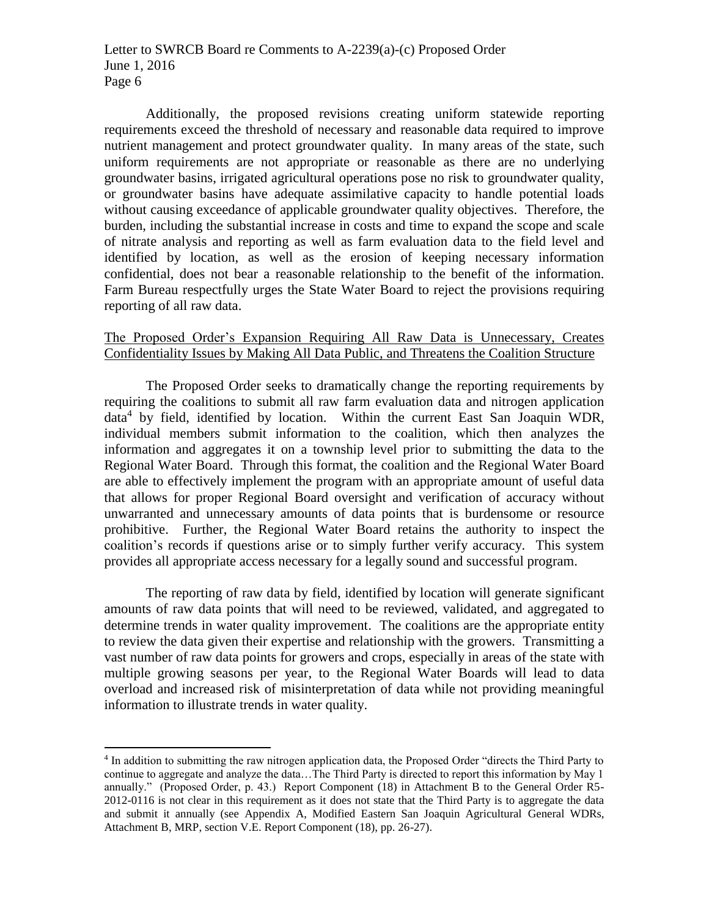Additionally, the proposed revisions creating uniform statewide reporting requirements exceed the threshold of necessary and reasonable data required to improve nutrient management and protect groundwater quality. In many areas of the state, such uniform requirements are not appropriate or reasonable as there are no underlying groundwater basins, irrigated agricultural operations pose no risk to groundwater quality, or groundwater basins have adequate assimilative capacity to handle potential loads without causing exceedance of applicable groundwater quality objectives. Therefore, the burden, including the substantial increase in costs and time to expand the scope and scale of nitrate analysis and reporting as well as farm evaluation data to the field level and identified by location, as well as the erosion of keeping necessary information confidential, does not bear a reasonable relationship to the benefit of the information. Farm Bureau respectfully urges the State Water Board to reject the provisions requiring reporting of all raw data.

### The Proposed Order's Expansion Requiring All Raw Data is Unnecessary, Creates Confidentiality Issues by Making All Data Public, and Threatens the Coalition Structure

The Proposed Order seeks to dramatically change the reporting requirements by requiring the coalitions to submit all raw farm evaluation data and nitrogen application data<sup>4</sup> by field, identified by location. Within the current East San Joaquin WDR, individual members submit information to the coalition, which then analyzes the information and aggregates it on a township level prior to submitting the data to the Regional Water Board. Through this format, the coalition and the Regional Water Board are able to effectively implement the program with an appropriate amount of useful data that allows for proper Regional Board oversight and verification of accuracy without unwarranted and unnecessary amounts of data points that is burdensome or resource prohibitive. Further, the Regional Water Board retains the authority to inspect the coalition's records if questions arise or to simply further verify accuracy. This system provides all appropriate access necessary for a legally sound and successful program.

The reporting of raw data by field, identified by location will generate significant amounts of raw data points that will need to be reviewed, validated, and aggregated to determine trends in water quality improvement. The coalitions are the appropriate entity to review the data given their expertise and relationship with the growers. Transmitting a vast number of raw data points for growers and crops, especially in areas of the state with multiple growing seasons per year, to the Regional Water Boards will lead to data overload and increased risk of misinterpretation of data while not providing meaningful information to illustrate trends in water quality.

 $\overline{a}$ 

<sup>4</sup> In addition to submitting the raw nitrogen application data, the Proposed Order "directs the Third Party to continue to aggregate and analyze the data…The Third Party is directed to report this information by May 1 annually." (Proposed Order, p. 43.) Report Component (18) in Attachment B to the General Order R5- 2012-0116 is not clear in this requirement as it does not state that the Third Party is to aggregate the data and submit it annually (see Appendix A, Modified Eastern San Joaquin Agricultural General WDRs, Attachment B, MRP, section V.E. Report Component (18), pp. 26-27).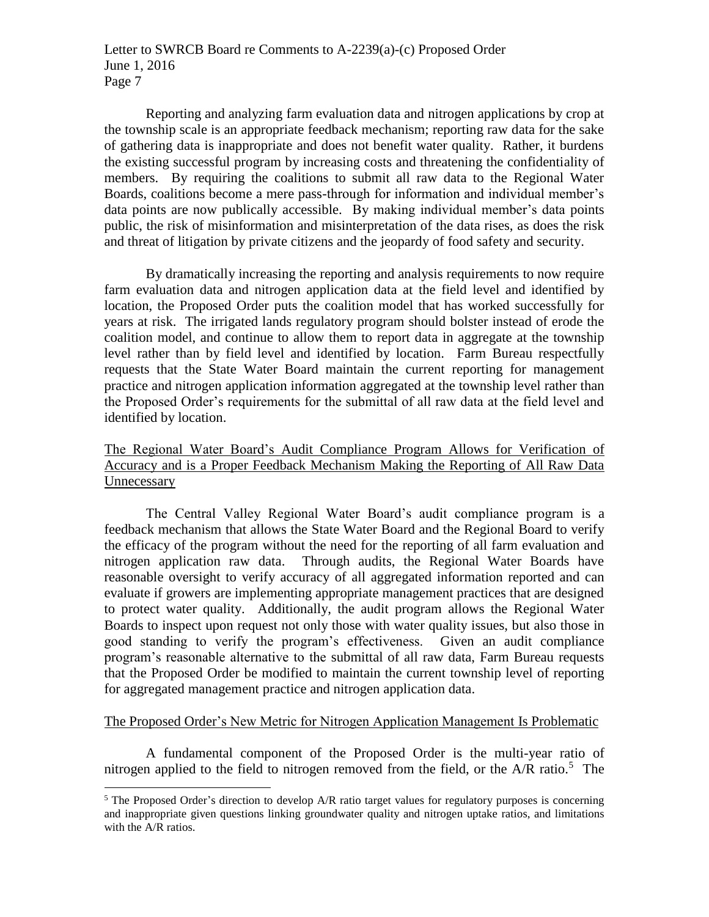Reporting and analyzing farm evaluation data and nitrogen applications by crop at the township scale is an appropriate feedback mechanism; reporting raw data for the sake of gathering data is inappropriate and does not benefit water quality. Rather, it burdens the existing successful program by increasing costs and threatening the confidentiality of members. By requiring the coalitions to submit all raw data to the Regional Water Boards, coalitions become a mere pass-through for information and individual member's data points are now publically accessible. By making individual member's data points public, the risk of misinformation and misinterpretation of the data rises, as does the risk and threat of litigation by private citizens and the jeopardy of food safety and security.

By dramatically increasing the reporting and analysis requirements to now require farm evaluation data and nitrogen application data at the field level and identified by location, the Proposed Order puts the coalition model that has worked successfully for years at risk. The irrigated lands regulatory program should bolster instead of erode the coalition model, and continue to allow them to report data in aggregate at the township level rather than by field level and identified by location. Farm Bureau respectfully requests that the State Water Board maintain the current reporting for management practice and nitrogen application information aggregated at the township level rather than the Proposed Order's requirements for the submittal of all raw data at the field level and identified by location.

# The Regional Water Board's Audit Compliance Program Allows for Verification of Accuracy and is a Proper Feedback Mechanism Making the Reporting of All Raw Data Unnecessary

The Central Valley Regional Water Board's audit compliance program is a feedback mechanism that allows the State Water Board and the Regional Board to verify the efficacy of the program without the need for the reporting of all farm evaluation and nitrogen application raw data. Through audits, the Regional Water Boards have reasonable oversight to verify accuracy of all aggregated information reported and can evaluate if growers are implementing appropriate management practices that are designed to protect water quality. Additionally, the audit program allows the Regional Water Boards to inspect upon request not only those with water quality issues, but also those in good standing to verify the program's effectiveness. Given an audit compliance program's reasonable alternative to the submittal of all raw data, Farm Bureau requests that the Proposed Order be modified to maintain the current township level of reporting for aggregated management practice and nitrogen application data.

# The Proposed Order's New Metric for Nitrogen Application Management Is Problematic

A fundamental component of the Proposed Order is the multi-year ratio of nitrogen applied to the field to nitrogen removed from the field, or the  $A/R$  ratio.<sup>5</sup> The

 $\overline{a}$ 

 $<sup>5</sup>$  The Proposed Order's direction to develop A/R ratio target values for regulatory purposes is concerning</sup> and inappropriate given questions linking groundwater quality and nitrogen uptake ratios, and limitations with the A/R ratios.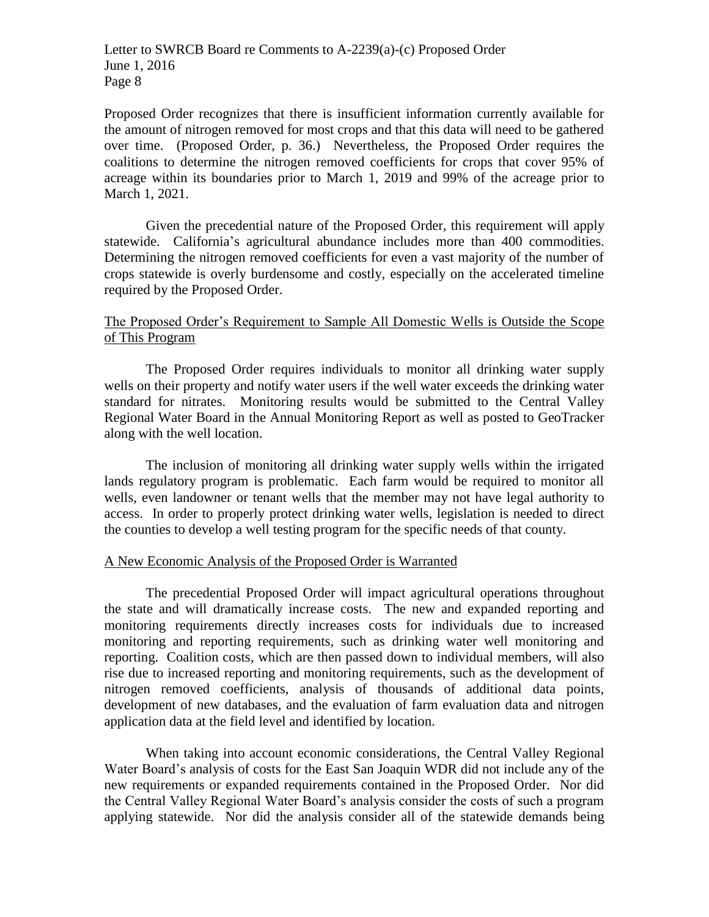Letter to SWRCB Board re Comments to A-2239(a)-(c) Proposed Order June 1, 2016 Page 8

Proposed Order recognizes that there is insufficient information currently available for the amount of nitrogen removed for most crops and that this data will need to be gathered over time. (Proposed Order, p. 36.) Nevertheless, the Proposed Order requires the coalitions to determine the nitrogen removed coefficients for crops that cover 95% of acreage within its boundaries prior to March 1, 2019 and 99% of the acreage prior to March 1, 2021.

Given the precedential nature of the Proposed Order, this requirement will apply statewide. California's agricultural abundance includes more than 400 commodities. Determining the nitrogen removed coefficients for even a vast majority of the number of crops statewide is overly burdensome and costly, especially on the accelerated timeline required by the Proposed Order.

### The Proposed Order's Requirement to Sample All Domestic Wells is Outside the Scope of This Program

The Proposed Order requires individuals to monitor all drinking water supply wells on their property and notify water users if the well water exceeds the drinking water standard for nitrates. Monitoring results would be submitted to the Central Valley Regional Water Board in the Annual Monitoring Report as well as posted to GeoTracker along with the well location.

The inclusion of monitoring all drinking water supply wells within the irrigated lands regulatory program is problematic. Each farm would be required to monitor all wells, even landowner or tenant wells that the member may not have legal authority to access. In order to properly protect drinking water wells, legislation is needed to direct the counties to develop a well testing program for the specific needs of that county.

### A New Economic Analysis of the Proposed Order is Warranted

The precedential Proposed Order will impact agricultural operations throughout the state and will dramatically increase costs. The new and expanded reporting and monitoring requirements directly increases costs for individuals due to increased monitoring and reporting requirements, such as drinking water well monitoring and reporting. Coalition costs, which are then passed down to individual members, will also rise due to increased reporting and monitoring requirements, such as the development of nitrogen removed coefficients, analysis of thousands of additional data points, development of new databases, and the evaluation of farm evaluation data and nitrogen application data at the field level and identified by location.

When taking into account economic considerations, the Central Valley Regional Water Board's analysis of costs for the East San Joaquin WDR did not include any of the new requirements or expanded requirements contained in the Proposed Order. Nor did the Central Valley Regional Water Board's analysis consider the costs of such a program applying statewide. Nor did the analysis consider all of the statewide demands being